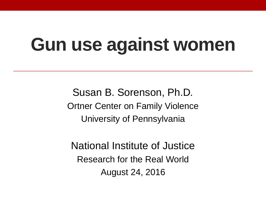# **Gun use against women**

Susan B. Sorenson, Ph.D*.* Ortner Center on Family Violence University of Pennsylvania

National Institute of Justice Research for the Real World August 24, 2016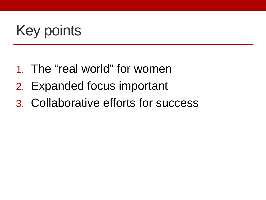# Key points

- 1. The "real world" for women
- 2. Expanded focus important
- 3. Collaborative efforts for success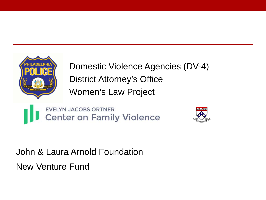

**Domestic Violence Agencies (DV-4)** District Attorney's Office Women's Law Project

**EVELYN JACOBS ORTNER Center on Family Violence** 



John & Laura Arnold Foundation New Venture Fund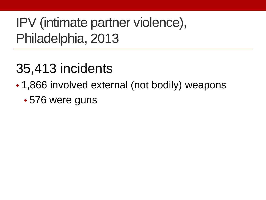IPV (intimate partner violence), Philadelphia, 2013

## 35,413 incidents

- 1,866 involved external (not bodily) weapons
	- 576 were guns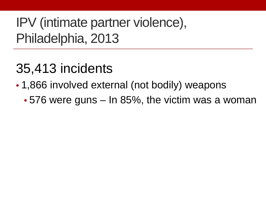IPV (intimate partner violence), Philadelphia, 2013

## 35,413 incidents

- 1,866 involved external (not bodily) weapons
	- 576 were guns In 85%, the victim was a woman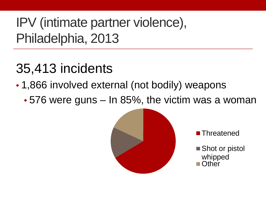IPV (intimate partner violence), Philadelphia, 2013

## 35,413 incidents

- 1,866 involved external (not bodily) weapons
	- 576 were guns In 85%, the victim was a woman





■ Shot or pistol whipped **Other**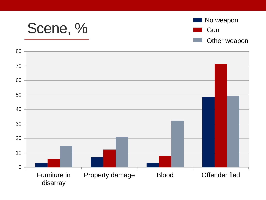



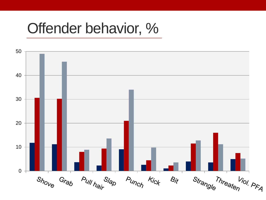#### Offender behavior, %

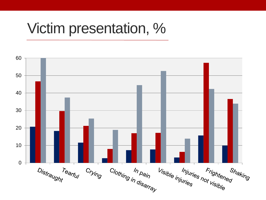#### Victim presentation, %

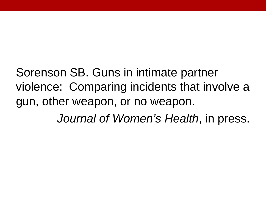Sorenson SB. Guns in intimate partner violence: Comparing incidents that involve a gun, other weapon, or no weapon. *Journal of Women's Health*, in press.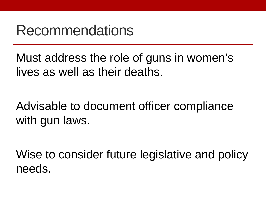#### Recommendations

Must address the role of guns in women's lives as well as their deaths.

Advisable to document officer compliance with gun laws.

Wise to consider future legislative and policy needs.